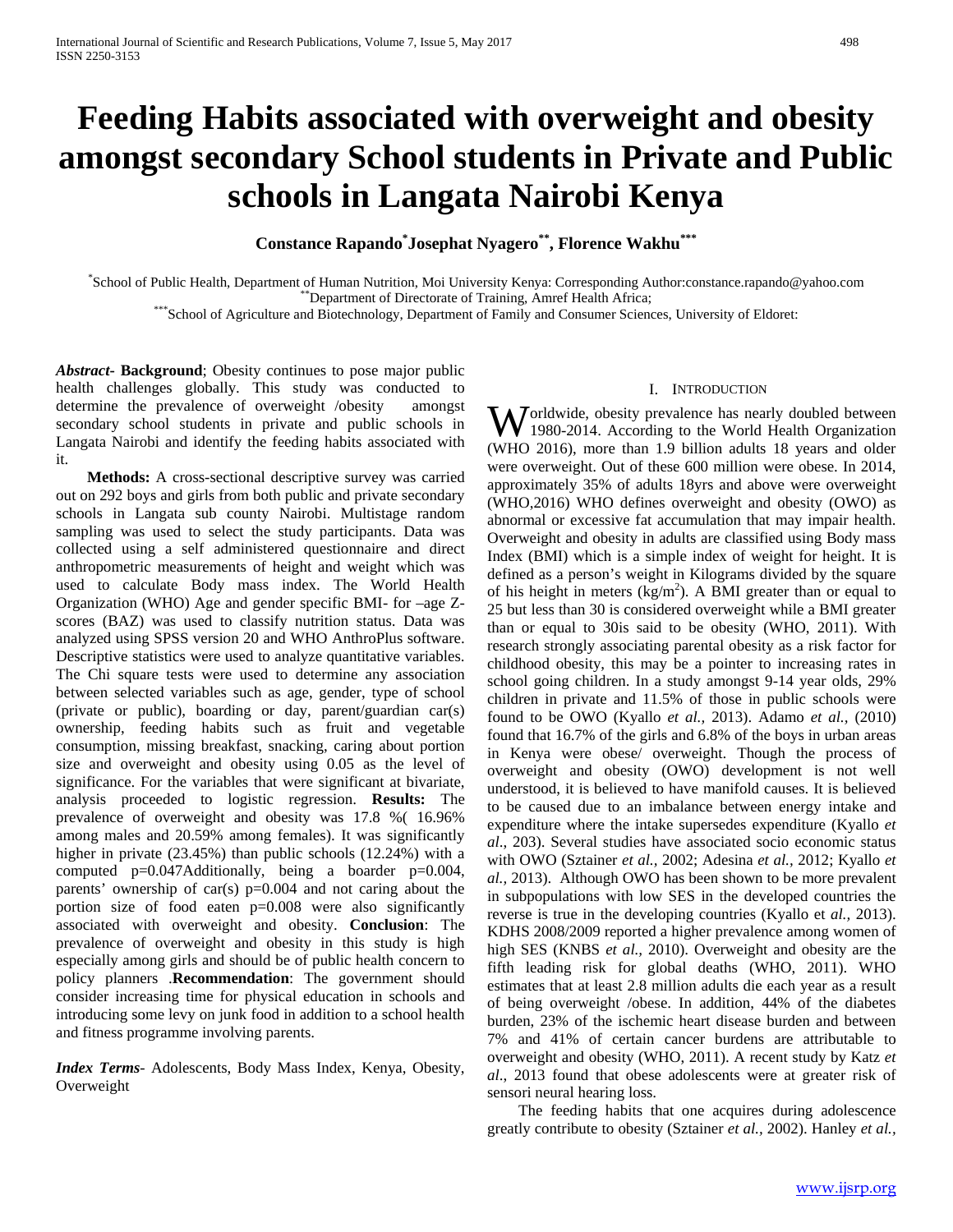# **Feeding Habits associated with overweight and obesity amongst secondary School students in Private and Public schools in Langata Nairobi Kenya**

**Constance Rapando\* Josephat Nyagero\*\*, Florence Wakhu\*\*\***

School of Public Health, Department of Human Nutrition, Moi University Kenya: Corresponding Author:constance.rapando@yahoo.com

\*\*\*Department of Directorate of Training, Amref Health Africa;<br>\*\*\*School of Agriculture and Biotechnology, Department of Family and Consumer Sciences, University of Eldoret:

*Abstract***- Background**; Obesity continues to pose major public health challenges globally. This study was conducted to determine the prevalence of overweight /obesity amongst secondary school students in private and public schools in Langata Nairobi and identify the feeding habits associated with it.

 **Methods:** A cross-sectional descriptive survey was carried out on 292 boys and girls from both public and private secondary schools in Langata sub county Nairobi. Multistage random sampling was used to select the study participants. Data was collected using a self administered questionnaire and direct anthropometric measurements of height and weight which was used to calculate Body mass index. The World Health Organization (WHO) Age and gender specific BMI- for –age Zscores (BAZ) was used to classify nutrition status. Data was analyzed using SPSS version 20 and WHO AnthroPlus software. Descriptive statistics were used to analyze quantitative variables. The Chi square tests were used to determine any association between selected variables such as age, gender, type of school (private or public), boarding or day, parent/guardian car(s) ownership, feeding habits such as fruit and vegetable consumption, missing breakfast, snacking, caring about portion size and overweight and obesity using 0.05 as the level of significance. For the variables that were significant at bivariate, analysis proceeded to logistic regression. **Results:** The prevalence of overweight and obesity was 17.8 %( 16.96% among males and 20.59% among females). It was significantly higher in private (23.45%) than public schools (12.24%) with a computed p=0.047Additionally, being a boarder p=0.004, parents' ownership of car(s) p=0.004 and not caring about the portion size of food eaten p=0.008 were also significantly associated with overweight and obesity. **Conclusion**: The prevalence of overweight and obesity in this study is high especially among girls and should be of public health concern to policy planners .**Recommendation**: The government should consider increasing time for physical education in schools and introducing some levy on junk food in addition to a school health and fitness programme involving parents.

*Index Terms*- Adolescents, Body Mass Index, Kenya, Obesity, Overweight

#### I. INTRODUCTION

orldwide, obesity prevalence has nearly doubled between **W** orldwide, obesity prevalence has nearly doubled between<br>
1980-2014. According to the World Health Organization (WHO 2016), more than 1.9 billion adults 18 years and older were overweight. Out of these 600 million were obese. In 2014, approximately 35% of adults 18yrs and above were overweight (WHO,2016) WHO defines overweight and obesity (OWO) as abnormal or excessive fat accumulation that may impair health. Overweight and obesity in adults are classified using Body mass Index (BMI) which is a simple index of weight for height. It is defined as a person's weight in Kilograms divided by the square of his height in meters  $(kg/m<sup>2</sup>)$ . A BMI greater than or equal to 25 but less than 30 is considered overweight while a BMI greater than or equal to 30is said to be obesity (WHO, 2011). With research strongly associating parental obesity as a risk factor for childhood obesity, this may be a pointer to increasing rates in school going children. In a study amongst 9-14 year olds, 29% children in private and 11.5% of those in public schools were found to be OWO (Kyallo *et al.,* 2013). Adamo *et al.,* (2010) found that 16.7% of the girls and 6.8% of the boys in urban areas in Kenya were obese/ overweight. Though the process of overweight and obesity (OWO) development is not well understood, it is believed to have manifold causes. It is believed to be caused due to an imbalance between energy intake and expenditure where the intake supersedes expenditure (Kyallo *et al*., 203). Several studies have associated socio economic status with OWO (Sztainer *et al.,* 2002; Adesina *et al.,* 2012; Kyallo *et al.,* 2013). Although OWO has been shown to be more prevalent in subpopulations with low SES in the developed countries the reverse is true in the developing countries (Kyallo et *al.,* 2013). KDHS 2008/2009 reported a higher prevalence among women of high SES (KNBS *et al.,* 2010). Overweight and obesity are the fifth leading risk for global deaths (WHO, 2011). WHO estimates that at least 2.8 million adults die each year as a result of being overweight /obese. In addition, 44% of the diabetes burden, 23% of the ischemic heart disease burden and between 7% and 41% of certain cancer burdens are attributable to overweight and obesity (WHO, 2011). A recent study by Katz *et al*., 2013 found that obese adolescents were at greater risk of sensori neural hearing loss.

 The feeding habits that one acquires during adolescence greatly contribute to obesity (Sztainer *et al.,* 2002). Hanley *et al.,*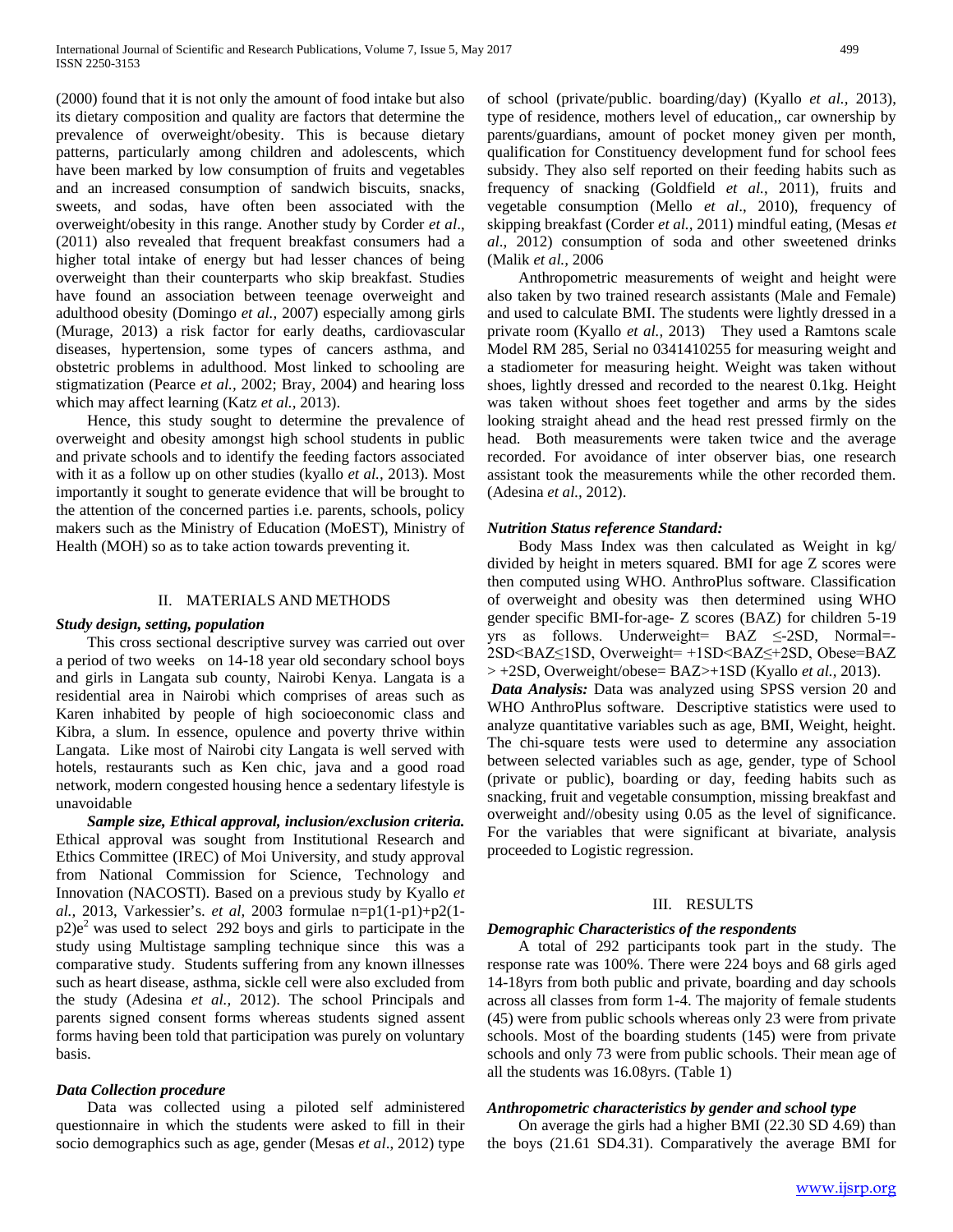(2000) found that it is not only the amount of food intake but also its dietary composition and quality are factors that determine the prevalence of overweight/obesity. This is because dietary patterns, particularly among children and adolescents, which have been marked by low consumption of fruits and vegetables and an increased consumption of sandwich biscuits, snacks, sweets, and sodas, have often been associated with the overweight/obesity in this range. Another study by Corder *et al*., (2011) also revealed that frequent breakfast consumers had a higher total intake of energy but had lesser chances of being overweight than their counterparts who skip breakfast. Studies have found an association between teenage overweight and adulthood obesity (Domingo *et al.,* 2007) especially among girls (Murage, 2013) a risk factor for early deaths, cardiovascular diseases, hypertension, some types of cancers asthma, and obstetric problems in adulthood. Most linked to schooling are stigmatization (Pearce *et al.,* 2002; Bray, 2004) and hearing loss which may affect learning (Katz *et al.,* 2013).

 Hence, this study sought to determine the prevalence of overweight and obesity amongst high school students in public and private schools and to identify the feeding factors associated with it as a follow up on other studies (kyallo *et al.,* 2013). Most importantly it sought to generate evidence that will be brought to the attention of the concerned parties i.e. parents, schools, policy makers such as the Ministry of Education (MoEST), Ministry of Health (MOH) so as to take action towards preventing it.

## II. MATERIALS AND METHODS

## *Study design, setting, population*

 This cross sectional descriptive survey was carried out over a period of two weeks on 14-18 year old secondary school boys and girls in Langata sub county, Nairobi Kenya. Langata is a residential area in Nairobi which comprises of areas such as Karen inhabited by people of high socioeconomic class and Kibra, a slum. In essence, opulence and poverty thrive within Langata. Like most of Nairobi city Langata is well served with hotels, restaurants such as Ken chic, java and a good road network, modern congested housing hence a sedentary lifestyle is unavoidable

 *Sample size, Ethical approval, inclusion/exclusion criteria.* Ethical approval was sought from Institutional Research and Ethics Committee (IREC) of Moi University, and study approval from National Commission for Science, Technology and Innovation (NACOSTI). Based on a previous study by Kyallo *et al.,* 2013, Varkessier's. *et al,* 2003 formulae n=p1(1-p1)+p2(1  $p2)e<sup>2</sup>$  was used to select 292 boys and girls to participate in the study using Multistage sampling technique since this was a comparative study. Students suffering from any known illnesses such as heart disease, asthma, sickle cell were also excluded from the study (Adesina *et al.,* 2012). The school Principals and parents signed consent forms whereas students signed assent forms having been told that participation was purely on voluntary basis.

## *Data Collection procedure*

 Data was collected using a piloted self administered questionnaire in which the students were asked to fill in their socio demographics such as age, gender (Mesas *et al*., 2012) type of school (private/public. boarding/day) (Kyallo *et al.,* 2013), type of residence, mothers level of education,, car ownership by parents/guardians, amount of pocket money given per month, qualification for Constituency development fund for school fees subsidy. They also self reported on their feeding habits such as frequency of snacking (Goldfield *et al.*, 2011), fruits and vegetable consumption (Mello *et al*., 2010), frequency of skipping breakfast (Corder *et al.,* 2011) mindful eating, (Mesas *et al*., 2012) consumption of soda and other sweetened drinks (Malik *et al.,* 2006

 Anthropometric measurements of weight and height were also taken by two trained research assistants (Male and Female) and used to calculate BMI. The students were lightly dressed in a private room (Kyallo *et al.,* 2013) They used a Ramtons scale Model RM 285, Serial no 0341410255 for measuring weight and a stadiometer for measuring height. Weight was taken without shoes, lightly dressed and recorded to the nearest 0.1kg. Height was taken without shoes feet together and arms by the sides looking straight ahead and the head rest pressed firmly on the head. Both measurements were taken twice and the average recorded. For avoidance of inter observer bias, one research assistant took the measurements while the other recorded them. (Adesina *et al.,* 2012).

## *Nutrition Status reference Standard:*

 Body Mass Index was then calculated as Weight in kg/ divided by height in meters squared. BMI for age Z scores were then computed using WHO. AnthroPlus software. Classification of overweight and obesity was then determined using WHO gender specific BMI-for-age- Z scores (BAZ) for children 5-19 yrs as follows. Underweight= BAZ ≤-2SD, Normal=- 2SD<BAZ≤1SD, Overweight= +1SD<BAZ≤+2SD, Obese=BAZ > +2SD, Overweight/obese= BAZ>+1SD (Kyallo *et al.,* 2013). *Data Analysis:* Data was analyzed using SPSS version 20 and WHO AnthroPlus software. Descriptive statistics were used to analyze quantitative variables such as age, BMI, Weight, height. The chi-square tests were used to determine any association between selected variables such as age, gender, type of School (private or public), boarding or day, feeding habits such as

snacking, fruit and vegetable consumption, missing breakfast and overweight and//obesity using 0.05 as the level of significance. For the variables that were significant at bivariate, analysis proceeded to Logistic regression.

## III. RESULTS

## *Demographic Characteristics of the respondents*

 A total of 292 participants took part in the study. The response rate was 100%. There were 224 boys and 68 girls aged 14-18yrs from both public and private, boarding and day schools across all classes from form 1-4. The majority of female students (45) were from public schools whereas only 23 were from private schools. Most of the boarding students (145) were from private schools and only 73 were from public schools. Their mean age of all the students was 16.08yrs. (Table 1)

## *Anthropometric characteristics by gender and school type*

 On average the girls had a higher BMI (22.30 SD 4.69) than the boys (21.61 SD4.31). Comparatively the average BMI for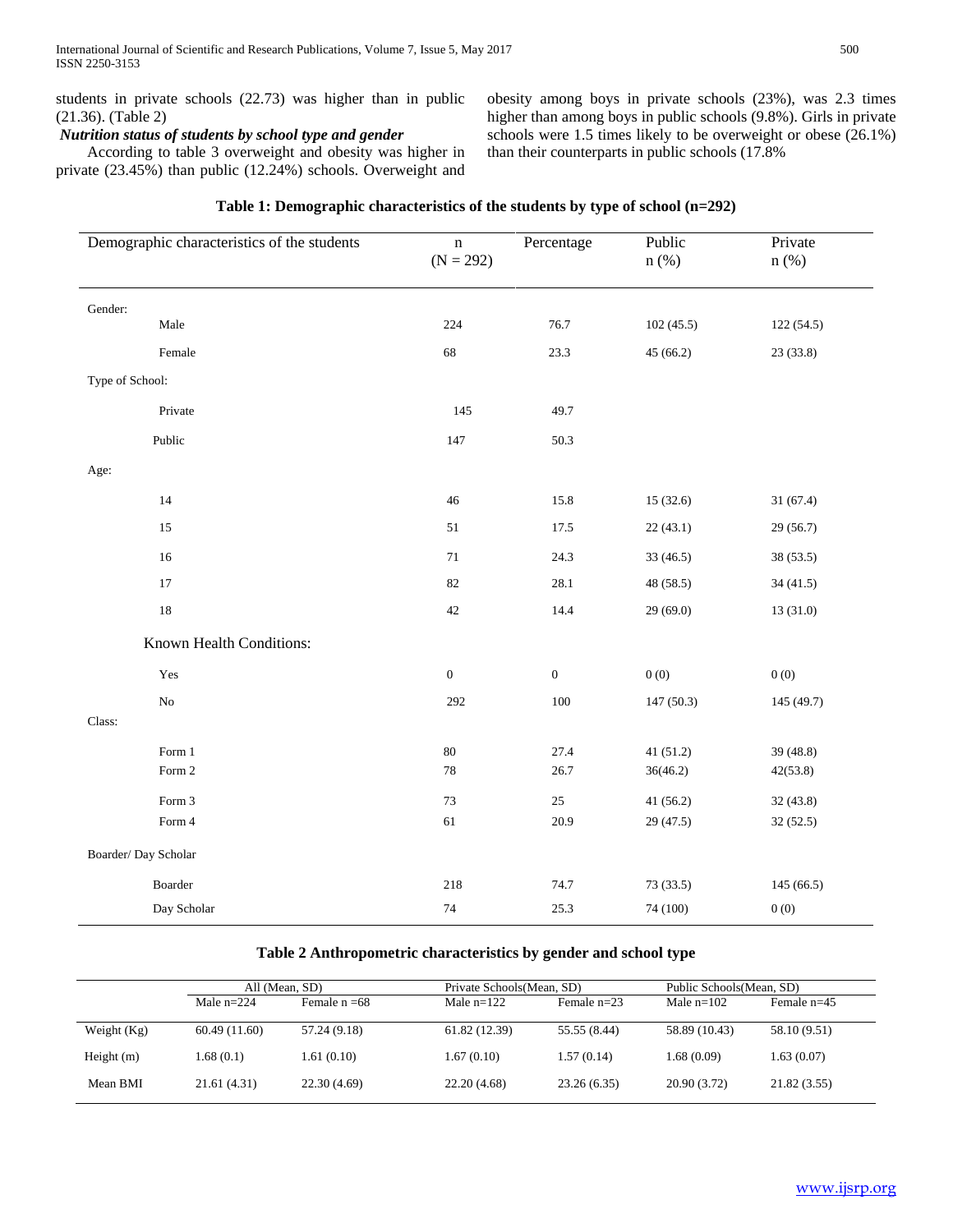students in private schools (22.73) was higher than in public (21.36). (Table 2)

# *Nutrition status of students by school type and gender*

 According to table 3 overweight and obesity was higher in private (23.45%) than public (12.24%) schools. Overweight and

obesity among boys in private schools (23%), was 2.3 times higher than among boys in public schools (9.8%). Girls in private schools were 1.5 times likely to be overweight or obese (26.1%) than their counterparts in public schools (17.8%

| Demographic characteristics of the students | $\mathbf n$<br>$(N = 292)$ | Percentage       | Public<br>$n$ (%)  | Private<br>$n$ (%) |
|---------------------------------------------|----------------------------|------------------|--------------------|--------------------|
| Gender:                                     |                            |                  |                    |                    |
| $\rm Male$                                  | 224                        | 76.7             | 102(45.5)          | 122(54.5)          |
| Female                                      | 68                         | 23.3             | 45(66.2)           | 23(33.8)           |
| Type of School:                             |                            |                  |                    |                    |
| Private                                     | 145                        | 49.7             |                    |                    |
| Public                                      | 147                        | 50.3             |                    |                    |
| Age:                                        |                            |                  |                    |                    |
| 14                                          | 46                         | 15.8             | 15(32.6)           | 31(67.4)           |
| $15\,$                                      | 51                         | 17.5             | 22(43.1)           | 29 (56.7)          |
| $16\,$                                      | 71                         | 24.3             | 33 (46.5)          | 38 (53.5)          |
| $17\,$                                      | 82                         | 28.1             | 48 (58.5)          | 34(41.5)           |
| 18                                          | $42\,$                     | 14.4             | 29(69.0)           | 13(31.0)           |
| Known Health Conditions:                    |                            |                  |                    |                    |
| Yes                                         | $\boldsymbol{0}$           | $\boldsymbol{0}$ | $0\left( 0\right)$ | 0(0)               |
| $\rm No$                                    | 292                        | $100\,$          | 147(50.3)          | 145 (49.7)         |
| Class:                                      |                            |                  |                    |                    |
| Form $1\,$                                  | $80\,$                     | 27.4             | 41 (51.2)          | 39 (48.8)          |
| Form 2                                      | 78                         | 26.7             | 36(46.2)           | 42(53.8)           |
| Form 3                                      | 73                         | $25\,$           | 41 (56.2)          | 32(43.8)           |
| Form 4                                      | 61                         | 20.9             | 29 (47.5)          | 32(52.5)           |
| Boarder/Day Scholar                         |                            |                  |                    |                    |
| Boarder                                     | 218                        | 74.7             | 73 (33.5)          | 145(66.5)          |
| Day Scholar                                 | 74                         | 25.3             | 74 (100)           | 0(0)               |

## **Table 1: Demographic characteristics of the students by type of school (n=292)**

## **Table 2 Anthropometric characteristics by gender and school type**

|               | All (Mean, SD) |                 | Private Schools (Mean, SD) |               | Public Schools (Mean, SD) |               |
|---------------|----------------|-----------------|----------------------------|---------------|---------------------------|---------------|
|               | Male $n=224$   | Female $n = 68$ | Male $n=122$               | Female $n=23$ | Male $n=102$              | Female $n=45$ |
| Weight $(Kg)$ | 60.49(11.60)   | 57.24 (9.18)    | 61.82 (12.39)              | 55.55 (8.44)  | 58.89 (10.43)             | 58.10 (9.51)  |
| Height $(m)$  | 1.68(0.1)      | 1.61(0.10)      | 1.67(0.10)                 | 1.57(0.14)    | 1.68(0.09)                | 1.63(0.07)    |
| Mean BMI      | 21.61(4.31)    | 22.30(4.69)     | 22.20(4.68)                | 23.26(6.35)   | 20.90 (3.72)              | 21.82(3.55)   |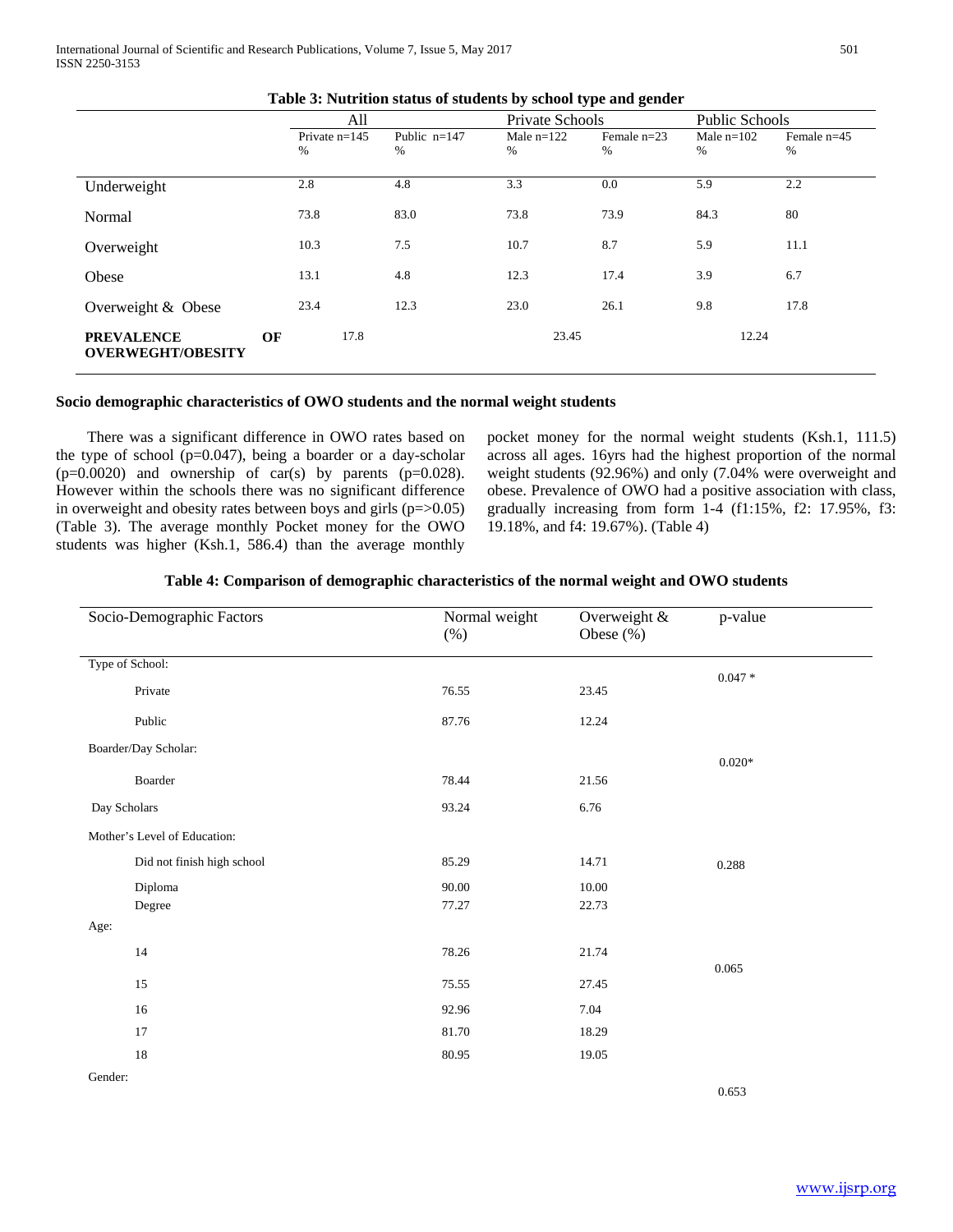|                                               | All |                      |                     | Private Schools   |                    | <b>Public Schools</b> |                       |
|-----------------------------------------------|-----|----------------------|---------------------|-------------------|--------------------|-----------------------|-----------------------|
|                                               |     | Private $n=145$<br>% | Public $n=147$<br>% | Male $n=122$<br>% | Female $n=23$<br>% | Male $n=102$<br>%     | Female $n=45$<br>$\%$ |
| Underweight                                   |     | 2.8                  | 4.8                 | 3.3               | $0.0\,$            | 5.9                   | 2.2                   |
| Normal                                        |     | 73.8                 | 83.0                | 73.8              | 73.9               | 84.3                  | 80                    |
| Overweight                                    |     | 10.3                 | 7.5                 | 10.7              | 8.7                | 5.9                   | 11.1                  |
| Obese                                         |     | 13.1                 | 4.8                 | 12.3              | 17.4               | 3.9                   | 6.7                   |
| Overweight & Obese                            |     | 23.4                 | 12.3                | 23.0              | 26.1               | 9.8                   | 17.8                  |
| <b>PREVALENCE</b><br><b>OVERWEGHT/OBESITY</b> | OF  | 17.8                 |                     | 23.45             |                    | 12.24                 |                       |

## **Table 3: Nutrition status of students by school type and gender**

## **Socio demographic characteristics of OWO students and the normal weight students**

 There was a significant difference in OWO rates based on the type of school ( $p=0.047$ ), being a boarder or a day-scholar  $(p=0.0020)$  and ownership of car(s) by parents  $(p=0.028)$ . However within the schools there was no significant difference in overweight and obesity rates between boys and girls  $(p=0.05)$ (Table 3). The average monthly Pocket money for the OWO students was higher (Ksh.1, 586.4) than the average monthly

pocket money for the normal weight students (Ksh.1, 111.5) across all ages. 16yrs had the highest proportion of the normal weight students (92.96%) and only (7.04% were overweight and obese. Prevalence of OWO had a positive association with class, gradually increasing from form 1-4 (f1:15%, f2: 17.95%, f3: 19.18%, and f4: 19.67%). (Table 4)

|  | Table 4: Comparison of demographic characteristics of the normal weight and OWO students |  |
|--|------------------------------------------------------------------------------------------|--|
|  |                                                                                          |  |

| Socio-Demographic Factors    |                            | Normal weight<br>$(\%)$ | Overweight &<br>Obese $(\% )$ | p-value   |
|------------------------------|----------------------------|-------------------------|-------------------------------|-----------|
| Type of School:              |                            |                         |                               |           |
| Private                      |                            | 76.55                   | 23.45                         | $0.047 *$ |
| Public                       |                            | 87.76                   | 12.24                         |           |
| Boarder/Day Scholar:         |                            |                         |                               |           |
| $\mbox{\bf Boarder}$         |                            | 78.44                   | 21.56                         | $0.020*$  |
| Day Scholars                 |                            | 93.24                   | 6.76                          |           |
| Mother's Level of Education: |                            |                         |                               |           |
|                              | Did not finish high school | 85.29                   | 14.71                         | 0.288     |
| Diploma                      |                            | 90.00                   | 10.00                         |           |
| Degree                       |                            | 77.27                   | 22.73                         |           |
| Age:                         |                            |                         |                               |           |
| 14                           |                            | 78.26                   | 21.74                         |           |
| 15                           |                            | 75.55                   | 27.45                         | 0.065     |
| 16                           |                            | 92.96                   | 7.04                          |           |
| 17                           |                            | 81.70                   | 18.29                         |           |
| 18                           |                            | 80.95                   | 19.05                         |           |
| Gender:                      |                            |                         |                               |           |

0.653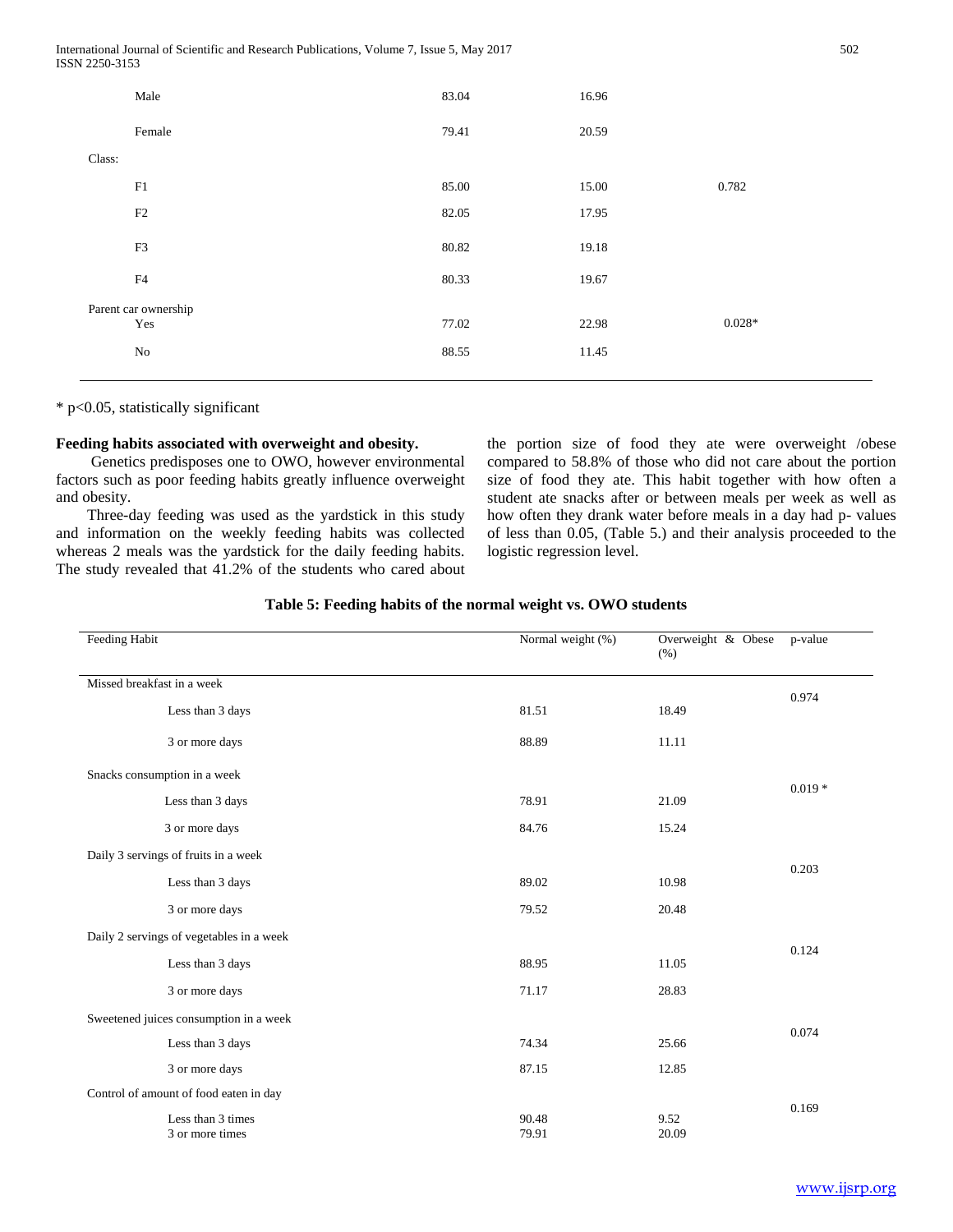|        | Male                 | 83.04 | 16.96 |          |
|--------|----------------------|-------|-------|----------|
|        | Female               | 79.41 | 20.59 |          |
| Class: |                      |       |       |          |
|        | F1                   | 85.00 | 15.00 | 0.782    |
|        | F2                   | 82.05 | 17.95 |          |
|        | F3                   | 80.82 | 19.18 |          |
|        | F4                   | 80.33 | 19.67 |          |
|        | Parent car ownership |       |       |          |
|        | Yes                  | 77.02 | 22.98 | $0.028*$ |
|        | No                   | 88.55 | 11.45 |          |
|        |                      |       |       |          |

\* p<0.05, statistically significant

## **Feeding habits associated with overweight and obesity.**

 Genetics predisposes one to OWO, however environmental factors such as poor feeding habits greatly influence overweight and obesity.

 Three-day feeding was used as the yardstick in this study and information on the weekly feeding habits was collected whereas 2 meals was the yardstick for the daily feeding habits. The study revealed that 41.2% of the students who cared about the portion size of food they ate were overweight /obese compared to 58.8% of those who did not care about the portion size of food they ate. This habit together with how often a student ate snacks after or between meals per week as well as how often they drank water before meals in a day had p- values of less than 0.05, (Table 5.) and their analysis proceeded to the logistic regression level.

## **Table 5: Feeding habits of the normal weight vs. OWO students**

| Feeding Habit              |                                          | Normal weight (%) | Overweight & Obese<br>(% ) | p-value  |
|----------------------------|------------------------------------------|-------------------|----------------------------|----------|
| Missed breakfast in a week |                                          |                   |                            |          |
|                            | Less than 3 days                         | 81.51             | 18.49                      | 0.974    |
|                            | 3 or more days                           | 88.89             | 11.11                      |          |
|                            | Snacks consumption in a week             |                   |                            |          |
|                            | Less than 3 days                         | 78.91             | 21.09                      | $0.019*$ |
|                            | 3 or more days                           | 84.76             | 15.24                      |          |
|                            | Daily 3 servings of fruits in a week     |                   |                            | 0.203    |
|                            | Less than 3 days                         | 89.02             | 10.98                      |          |
|                            | 3 or more days                           | 79.52             | 20.48                      |          |
|                            | Daily 2 servings of vegetables in a week |                   |                            |          |
|                            | Less than 3 days                         | 88.95             | 11.05                      | 0.124    |
|                            | 3 or more days                           | 71.17             | 28.83                      |          |
|                            | Sweetened juices consumption in a week   |                   |                            |          |
|                            | Less than 3 days                         | 74.34             | 25.66                      | 0.074    |
|                            | 3 or more days                           | 87.15             | 12.85                      |          |
|                            | Control of amount of food eaten in day   |                   |                            |          |
|                            | Less than 3 times<br>3 or more times     | 90.48<br>79.91    | 9.52<br>20.09              | 0.169    |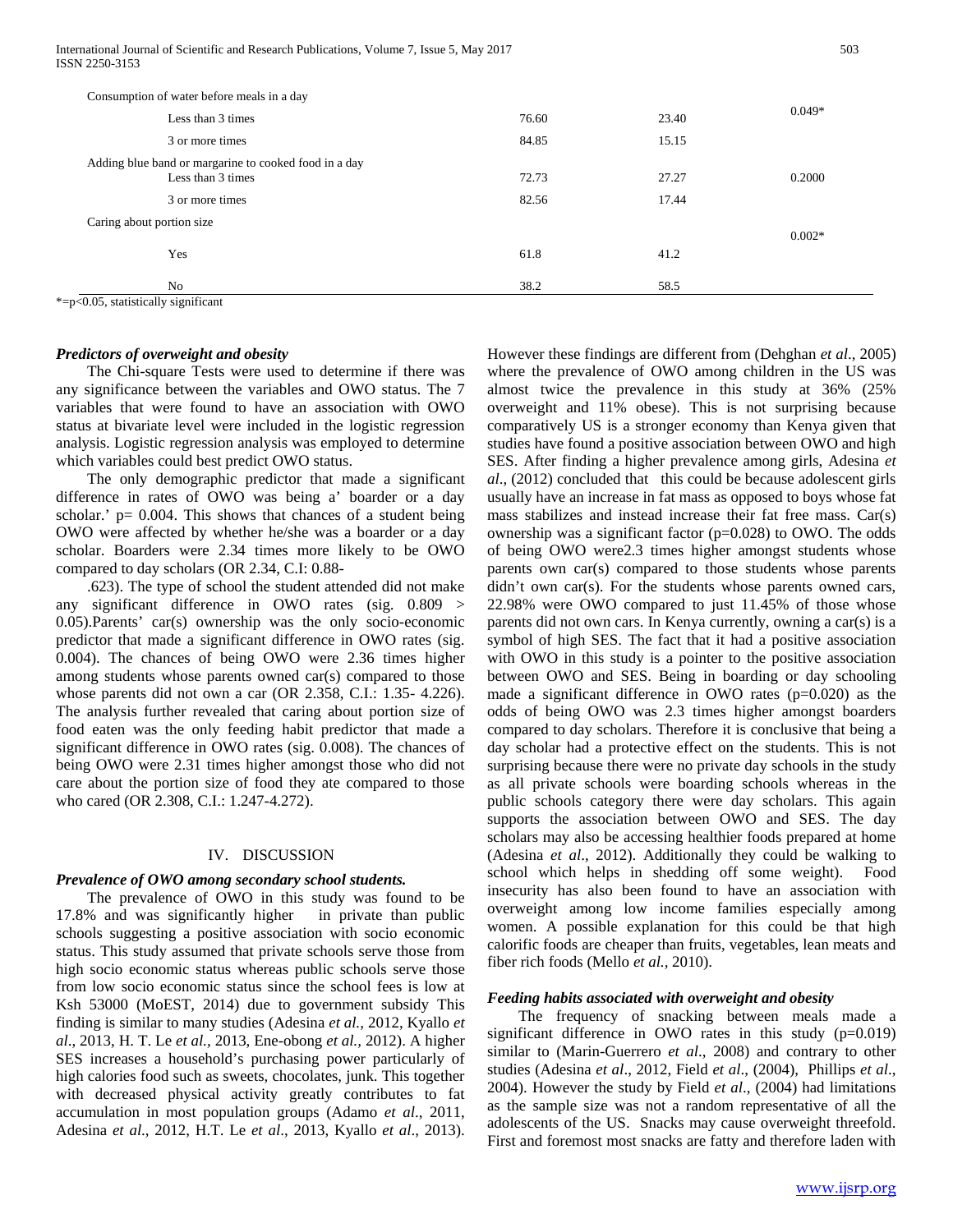International Journal of Scientific and Research Publications, Volume 7, Issue 5, May 2017 503 ISSN 2250-3153

| Consumption of water before meals in a day                                 |       |       |          |
|----------------------------------------------------------------------------|-------|-------|----------|
| Less than 3 times                                                          | 76.60 | 23.40 | $0.049*$ |
| 3 or more times                                                            | 84.85 | 15.15 |          |
| Adding blue band or margarine to cooked food in a day<br>Less than 3 times | 72.73 | 27.27 | 0.2000   |
| 3 or more times                                                            | 82.56 | 17.44 |          |
| Caring about portion size                                                  |       |       | $0.002*$ |
| Yes                                                                        | 61.8  | 41.2  |          |
| No                                                                         | 38.2  | 58.5  |          |

\*=p<0.05, statistically significant

# *Predictors of overweight and obesity*

 The Chi-square Tests were used to determine if there was any significance between the variables and OWO status. The 7 variables that were found to have an association with OWO status at bivariate level were included in the logistic regression analysis. Logistic regression analysis was employed to determine which variables could best predict OWO status.

 The only demographic predictor that made a significant difference in rates of OWO was being a' boarder or a day scholar.'  $p = 0.004$ . This shows that chances of a student being OWO were affected by whether he/she was a boarder or a day scholar. Boarders were 2.34 times more likely to be OWO compared to day scholars (OR 2.34, C.I: 0.88-

 .623). The type of school the student attended did not make any significant difference in OWO rates (sig. 0.809 > 0.05).Parents' car(s) ownership was the only socio-economic predictor that made a significant difference in OWO rates (sig. 0.004). The chances of being OWO were 2.36 times higher among students whose parents owned car(s) compared to those whose parents did not own a car (OR 2.358, C.I.: 1.35- 4.226). The analysis further revealed that caring about portion size of food eaten was the only feeding habit predictor that made a significant difference in OWO rates (sig. 0.008). The chances of being OWO were 2.31 times higher amongst those who did not care about the portion size of food they ate compared to those who cared (OR 2.308, C.I.: 1.247-4.272).

## IV. DISCUSSION

#### *Prevalence of OWO among secondary school students.*

 The prevalence of OWO in this study was found to be 17.8% and was significantly higher in private than public schools suggesting a positive association with socio economic status. This study assumed that private schools serve those from high socio economic status whereas public schools serve those from low socio economic status since the school fees is low at Ksh 53000 (MoEST, 2014) due to government subsidy This finding is similar to many studies (Adesina *et al.,* 2012, Kyallo *et al*., 2013, H. T. Le *et al.,* 2013, Ene-obong *et al.,* 2012). A higher SES increases a household's purchasing power particularly of high calories food such as sweets, chocolates, junk. This together with decreased physical activity greatly contributes to fat accumulation in most population groups (Adamo *et al*., 2011, Adesina *et al*., 2012, H.T. Le *et al*., 2013, Kyallo *et al*., 2013).

However these findings are different from (Dehghan *et al*., 2005) where the prevalence of OWO among children in the US was almost twice the prevalence in this study at 36% (25% overweight and 11% obese). This is not surprising because comparatively US is a stronger economy than Kenya given that studies have found a positive association between OWO and high SES. After finding a higher prevalence among girls, Adesina *et al*., (2012) concluded that this could be because adolescent girls usually have an increase in fat mass as opposed to boys whose fat mass stabilizes and instead increase their fat free mass. Car(s) ownership was a significant factor (p=0.028) to OWO. The odds of being OWO were2.3 times higher amongst students whose parents own car(s) compared to those students whose parents didn't own car(s). For the students whose parents owned cars, 22.98% were OWO compared to just 11.45% of those whose parents did not own cars. In Kenya currently, owning a car(s) is a symbol of high SES. The fact that it had a positive association with OWO in this study is a pointer to the positive association between OWO and SES. Being in boarding or day schooling made a significant difference in OWO rates (p=0.020) as the odds of being OWO was 2.3 times higher amongst boarders compared to day scholars. Therefore it is conclusive that being a day scholar had a protective effect on the students. This is not surprising because there were no private day schools in the study as all private schools were boarding schools whereas in the public schools category there were day scholars. This again supports the association between OWO and SES. The day scholars may also be accessing healthier foods prepared at home (Adesina *et al*., 2012). Additionally they could be walking to school which helps in shedding off some weight). Food insecurity has also been found to have an association with overweight among low income families especially among women. A possible explanation for this could be that high calorific foods are cheaper than fruits, vegetables, lean meats and fiber rich foods (Mello *et al.,* 2010).

## *Feeding habits associated with overweight and obesity*

 The frequency of snacking between meals made a significant difference in OWO rates in this study  $(p=0.019)$ similar to (Marin-Guerrero *et al*., 2008) and contrary to other studies (Adesina *et al*., 2012, Field *et al*., (2004), Phillips *et al*., 2004). However the study by Field *et al*., (2004) had limitations as the sample size was not a random representative of all the adolescents of the US. Snacks may cause overweight threefold. First and foremost most snacks are fatty and therefore laden with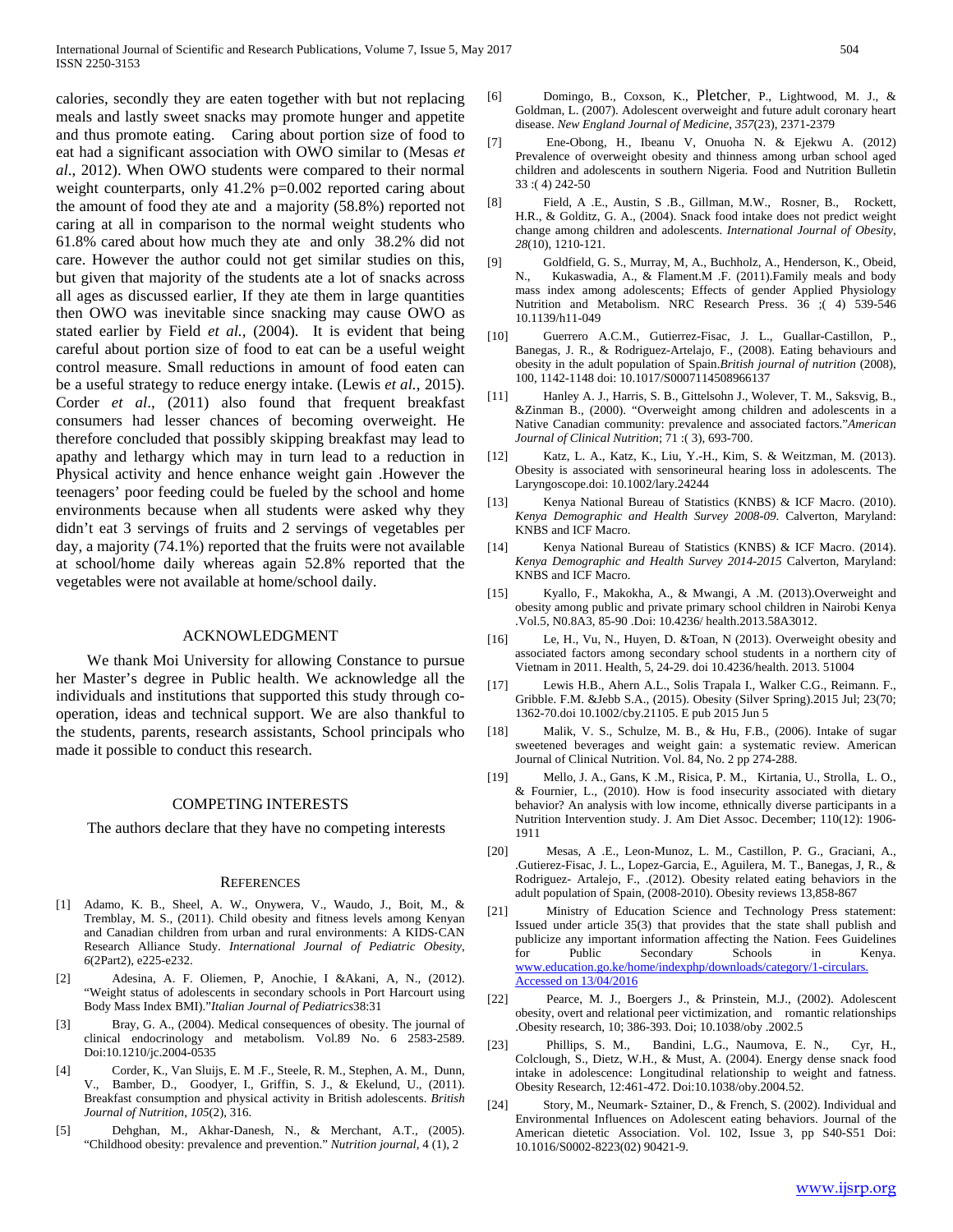calories, secondly they are eaten together with but not replacing meals and lastly sweet snacks may promote hunger and appetite and thus promote eating. Caring about portion size of food to eat had a significant association with OWO similar to (Mesas *et al*., 2012). When OWO students were compared to their normal weight counterparts, only 41.2% p=0.002 reported caring about the amount of food they ate and a majority (58.8%) reported not caring at all in comparison to the normal weight students who 61.8% cared about how much they ate and only 38.2% did not care. However the author could not get similar studies on this, but given that majority of the students ate a lot of snacks across all ages as discussed earlier, If they ate them in large quantities then OWO was inevitable since snacking may cause OWO as stated earlier by Field *et al.,* (2004). It is evident that being careful about portion size of food to eat can be a useful weight control measure. Small reductions in amount of food eaten can be a useful strategy to reduce energy intake. (Lewis *et al.,* 2015). Corder *et al*., (2011) also found that frequent breakfast consumers had lesser chances of becoming overweight. He therefore concluded that possibly skipping breakfast may lead to apathy and lethargy which may in turn lead to a reduction in Physical activity and hence enhance weight gain .However the teenagers' poor feeding could be fueled by the school and home environments because when all students were asked why they didn't eat 3 servings of fruits and 2 servings of vegetables per day, a majority (74.1%) reported that the fruits were not available at school/home daily whereas again 52.8% reported that the vegetables were not available at home/school daily.

## ACKNOWLEDGMENT

 We thank Moi University for allowing Constance to pursue her Master's degree in Public health. We acknowledge all the individuals and institutions that supported this study through cooperation, ideas and technical support. We are also thankful to the students, parents, research assistants, School principals who made it possible to conduct this research.

#### COMPETING INTERESTS

The authors declare that they have no competing interests

#### **REFERENCES**

- [1] Adamo, K. B., Sheel, A. W., Onywera, V., Waudo, J., Boit, M., & Tremblay, M. S., (2011). Child obesity and fitness levels among Kenyan and Canadian children from urban and rural environments: A KIDS‐CAN Research Alliance Study. *International Journal of Pediatric Obesity*, *6*(2Part2), e225-e232.
- [2] Adesina, A. F. Oliemen, P, Anochie, I &Akani, A, N., (2012). "Weight status of adolescents in secondary schools in Port Harcourt using Body Mass Index BMI)."*Italian Journal of Pediatrics*38:31
- [3] Bray, G. A., (2004). Medical consequences of obesity. The journal of clinical endocrinology and metabolism. Vol.89 No. 6 2583-2589. Doi:10.1210/jc.2004-0535
- [4] Corder, K., Van Sluijs, E. M .F., Steele, R. M., Stephen, A. M., Dunn, V., Bamber, D., Goodyer, I., Griffin, S. J., & Ekelund, U., (2011). Breakfast consumption and physical activity in British adolescents. *British Journal of Nutrition*, *105*(2), 316.
- [5] Dehghan, M., Akhar-Danesh, N., & Merchant, A.T., (2005). "Childhood obesity: prevalence and prevention." *Nutrition journal,* 4 (1), 2
- [6] Domingo, B., Coxson, K., Pletcher, P., Lightwood, M. J., & Goldman, L. (2007). Adolescent overweight and future adult coronary heart disease. *New England Journal of Medicine*, *357*(23), 2371-2379
- [7] Ene-Obong, H., Ibeanu V, Onuoha N. & Ejekwu A. (2012) Prevalence of overweight obesity and thinness among urban school aged children and adolescents in southern Nigeria. Food and Nutrition Bulletin 33 :( 4) 242-50
- [8] Field, A .E., Austin, S .B., Gillman, M.W., Rosner, B., Rockett, H.R., & Golditz, G. A., (2004). Snack food intake does not predict weight change among children and adolescents. *International Journal of Obesity*, *28*(10), 1210-121.
- [9] Goldfield, G. S., Murray, M, A., Buchholz, A., Henderson, K., Obeid, N., Kukaswadia, A., & Flament.M .F. (2011).Family meals and body mass index among adolescents; Effects of gender Applied Physiology Nutrition and Metabolism. NRC Research Press. 36 ;( 4) 539-546 10.1139/h11-049
- [10] Guerrero A.C.M., Gutierrez-Fisac, J. L., Guallar-Castillon, P., Banegas, J. R., & Rodriguez-Artelajo, F., (2008). Eating behaviours and obesity in the adult population of Spain.*British journal of nutrition* (2008), 100, 1142-1148 doi: 10.1017/S0007114508966137
- [11] Hanley A. J., Harris, S. B., Gittelsohn J., Wolever, T. M., Saksvig, B., &Zinman B., (2000). "Overweight among children and adolescents in a Native Canadian community: prevalence and associated factors."*American Journal of Clinical Nutrition*; 71 :( 3), 693-700.
- [12] Katz, L. A., Katz, K., Liu, Y.-H., Kim, S. & Weitzman, M. (2013). Obesity is associated with sensorineural hearing loss in adolescents. The Laryngoscope.doi: 10.1002/lary.24244
- [13] Kenya National Bureau of Statistics (KNBS) & ICF Macro. (2010). *Kenya Demographic and Health Survey 2008-09*. Calverton, Maryland: KNBS and ICF Macro.
- [14] Kenya National Bureau of Statistics (KNBS) & ICF Macro. (2014). *Kenya Demographic and Health Survey 2014-2015* Calverton, Maryland: KNBS and ICF Macro.
- [15] Kyallo, F., Makokha, A., & Mwangi, A .M. (2013).Overweight and obesity among public and private primary school children in Nairobi Kenya .Vol.5, N0.8A3, 85-90 .Doi: 10.4236/ health.2013.58A3012.
- [16] Le, H., Vu, N., Huyen, D. &Toan, N (2013). Overweight obesity and associated factors among secondary school students in a northern city of Vietnam in 2011. Health, 5, 24-29. doi 10.4236/health. 2013. 51004
- [17] Lewis H.B., Ahern A.L., Solis Trapala I., Walker C.G., Reimann. F., Gribble. F.M. &Jebb S.A., (2015). Obesity (Silver Spring).2015 Jul; 23(70; 1362-70.doi 10.1002/cby.21105. E pub 2015 Jun 5
- [18] Malik, V. S., Schulze, M. B., & Hu, F.B., (2006). Intake of sugar sweetened beverages and weight gain: a systematic review. American Journal of Clinical Nutrition. Vol. 84, No. 2 pp 274-288.
- [19] Mello, J. A., Gans, K .M., Risica, P. M., Kirtania, U., Strolla, L. O., & Fournier, L., (2010). How is food insecurity associated with dietary behavior? An analysis with low income, ethnically diverse participants in a Nutrition Intervention study. J. Am Diet Assoc. December; 110(12): 1906- 1911
- [20] Mesas, A .E., Leon-Munoz, L. M., Castillon, P. G., Graciani, A., .Gutierez-Fisac, J. L., Lopez-Garcia, E., Aguilera, M. T., Banegas, J, R., & Rodriguez- Artalejo, F., .(2012). Obesity related eating behaviors in the adult population of Spain, (2008-2010). Obesity reviews 13,858-867
- [21] Ministry of Education Science and Technology Press statement: Issued under article 35(3) that provides that the state shall publish and publicize any important information affecting the Nation. Fees Guidelines for Public Secondary Schools in Kenya. [www.education.go.ke/home/indexphp/downloads/category/1-circulars.](http://www.education.go.ke/home/indexphp/downloads/category/1-circulars.%20Accessed%20on%2013/04/2016)  [Accessed on 13/04/2016](http://www.education.go.ke/home/indexphp/downloads/category/1-circulars.%20Accessed%20on%2013/04/2016)
- [22] Pearce, M. J., Boergers J., & Prinstein, M.J., (2002). Adolescent obesity, overt and relational peer victimization, and romantic relationships .Obesity research, 10; 386-393. Doi; 10.1038/oby .2002.5
- [23] Phillips, S. M., Bandini, L.G., Naumova, E. N., Cyr, H., Colclough, S., Dietz, W.H., & Must, A. (2004). Energy dense snack food intake in adolescence: Longitudinal relationship to weight and fatness. Obesity Research, 12:461-472. Doi:10.1038/oby.2004.52.
- [24] Story, M., Neumark- Sztainer, D., & French, S. (2002). Individual and Environmental Influences on Adolescent eating behaviors. Journal of the American dietetic Association. Vol. 102, Issue 3, pp S40-S51 Doi: 10.1016/S0002-8223(02) 90421-9.